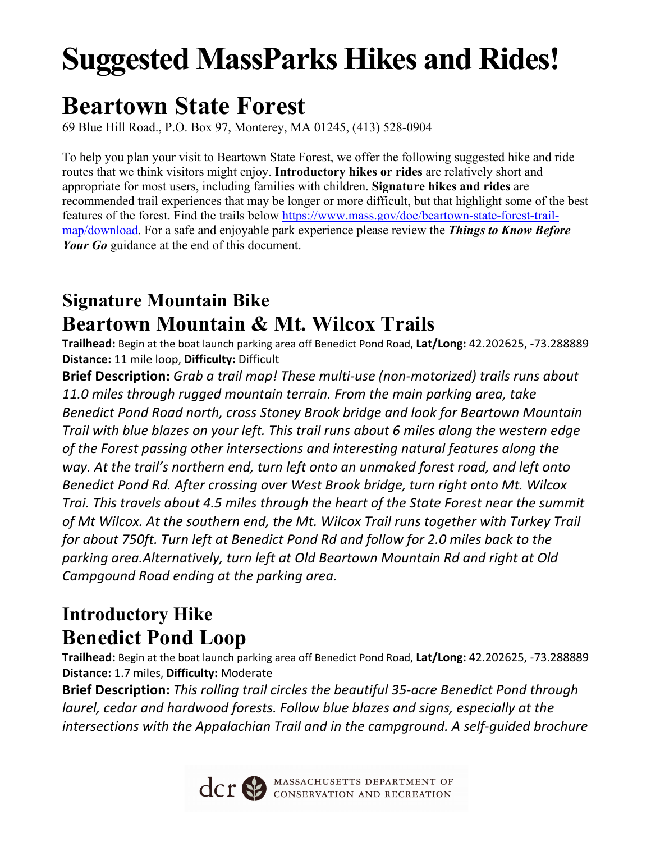# **Suggested MassParks Hikes and Rides!**

# **Beartown State Forest**

69 Blue Hill Road., P.O. Box 97, Monterey, MA 01245, (413) 528-0904

To help you plan your visit to Beartown State Forest, we offer the following suggested hike and ride routes that we think visitors might enjoy. **Introductory hikes or rides** are relatively short and appropriate for most users, including families with children. **Signature hikes and rides** are recommended trail experiences that may be longer or more difficult, but that highlight some of the best features of the forest. Find the trails below https://www.mass.gov/doc/beartown-state-forest-trailmap/download. For a safe and enjoyable park experience please review the *Things to Know Before Your Go* guidance at the end of this document.

#### **Signature Mountain Bike Beartown Mountain & Mt. Wilcox Trails**

**Trailhead:** Begin at the boat launch parking area off Benedict Pond Road, **Lat/Long:** 42.202625, -73.288889 **Distance:** 11 mile loop, **Difficulty:** Difficult

**Brief Description:** *Grab a trail map! These multi-use (non-motorized) trails runs about 11.0 miles through rugged mountain terrain. From the main parking area, take Benedict Pond Road north, cross Stoney Brook bridge and look for Beartown Mountain Trail with blue blazes on your left. This trail runs about 6 miles along the western edge of the Forest passing other intersections and interesting natural features along the way. At the trail's northern end, turn left onto an unmaked forest road, and left onto Benedict Pond Rd. After crossing over West Brook bridge, turn right onto Mt. Wilcox Trai. This travels about 4.5 miles through the heart of the State Forest near the summit of Mt Wilcox. At the southern end, the Mt. Wilcox Trail runs together with Turkey Trail for about 750ft. Turn left at Benedict Pond Rd and follow for 2.0 miles back to the parking area.Alternatively, turn left at Old Beartown Mountain Rd and right at Old Campgound Road ending at the parking area.*

#### **Introductory Hike Benedict Pond Loop**

**Trailhead:** Begin at the boat launch parking area off Benedict Pond Road, **Lat/Long:** 42.202625, -73.288889 **Distance:** 1.7 miles, **Difficulty:** Moderate

**Brief Description:** *This rolling trail circles the beautiful 35-acre Benedict Pond through laurel, cedar and hardwood forests. Follow blue blazes and signs, especially at the intersections with the Appalachian Trail and in the campground. A self-guided brochure* 



CCT SO MASSACHUSETTS DEPARTMENT OF CONSERVATION AND RECREATION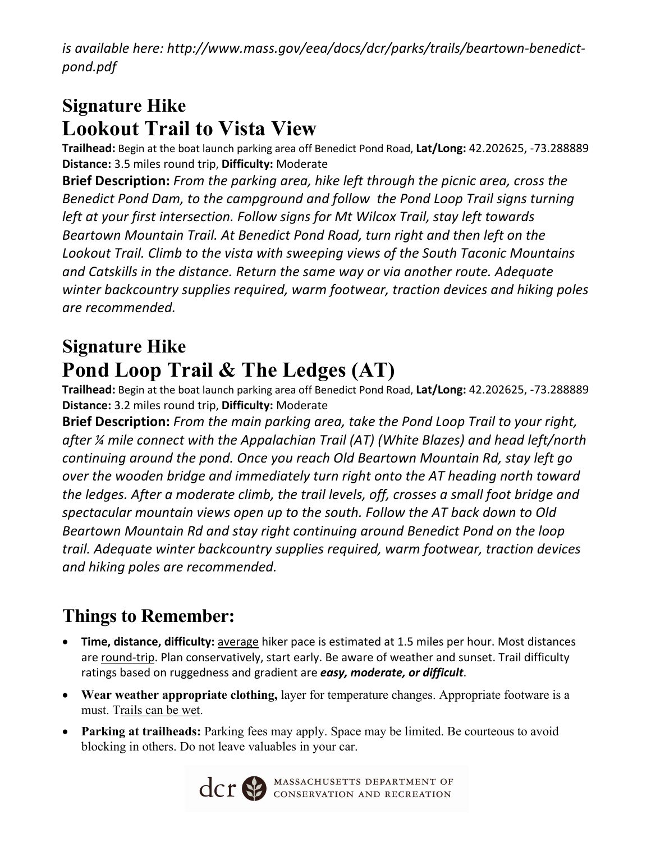*is available here: http://www.mass.gov/eea/docs/dcr/parks/trails/beartown-benedictpond.pdf*

### **Signature Hike Lookout Trail to Vista View**

**Trailhead:** Begin at the boat launch parking area off Benedict Pond Road, **Lat/Long:** 42.202625, -73.288889 **Distance:** 3.5 miles round trip, **Difficulty:** Moderate

**Brief Description:** *From the parking area, hike left through the picnic area, cross the Benedict Pond Dam, to the campground and follow the Pond Loop Trail signs turning left at your first intersection. Follow signs for Mt Wilcox Trail, stay left towards Beartown Mountain Trail. At Benedict Pond Road, turn right and then left on the Lookout Trail. Climb to the vista with sweeping views of the South Taconic Mountains and Catskills in the distance. Return the same way or via another route. Adequate winter backcountry supplies required, warm footwear, traction devices and hiking poles are recommended.*

## **Signature Hike Pond Loop Trail & The Ledges (AT)**

**Trailhead:** Begin at the boat launch parking area off Benedict Pond Road, **Lat/Long:** 42.202625, -73.288889 **Distance:** 3.2 miles round trip, **Difficulty:** Moderate

**Brief Description:** *From the main parking area, take the Pond Loop Trail to your right, after ¼ mile connect with the Appalachian Trail (AT) (White Blazes) and head left/north continuing around the pond. Once you reach Old Beartown Mountain Rd, stay left go over the wooden bridge and immediately turn right onto the AT heading north toward the ledges. After a moderate climb, the trail levels, off, crosses a small foot bridge and spectacular mountain views open up to the south. Follow the AT back down to Old Beartown Mountain Rd and stay right continuing around Benedict Pond on the loop trail. Adequate winter backcountry supplies required, warm footwear, traction devices and hiking poles are recommended.*

#### **Things to Remember:**

- **Time, distance, difficulty:** average hiker pace is estimated at 1.5 miles per hour. Most distances are round-trip. Plan conservatively, start early. Be aware of weather and sunset. Trail difficulty ratings based on ruggedness and gradient are *easy, moderate, or difficult*.
- **Wear weather appropriate clothing,** layer for temperature changes. Appropriate footware is a must. Trails can be wet.
- **Parking at trailheads:** Parking fees may apply. Space may be limited. Be courteous to avoid blocking in others. Do not leave valuables in your car.



**CCT SEPARTMENT OF CONSERVATION AND RECREATION**